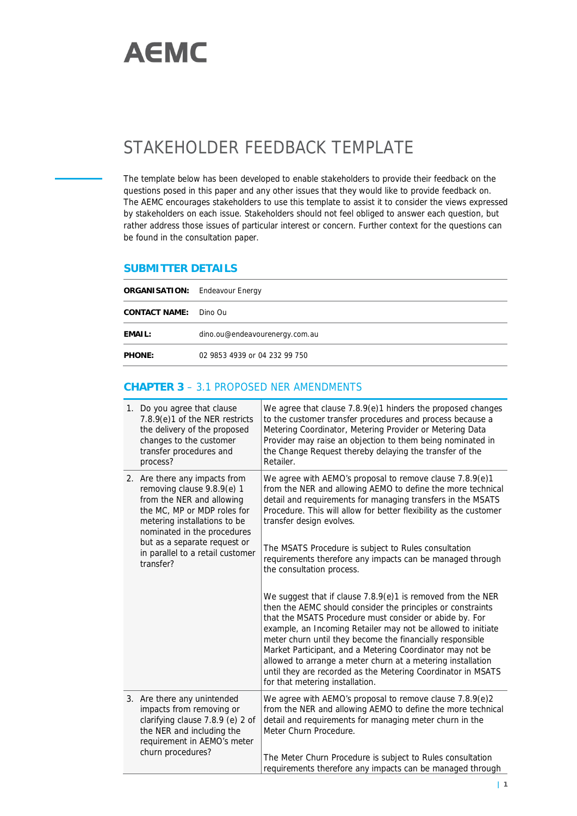

## STAKEHOLDER FEEDBACK TEMPLATE

The template below has been developed to enable stakeholders to provide their feedback on the questions posed in this paper and any other issues that they would like to provide feedback on. The AEMC encourages stakeholders to use this template to assist it to consider the views expressed by stakeholders on each issue. Stakeholders should not feel obliged to answer each question, but rather address those issues of particular interest or concern. Further context for the questions can be found in the consultation paper.

## **SUBMITTER DETAILS**

| ORGANISATION: Endeavour Energy |                                |
|--------------------------------|--------------------------------|
| CONTACT NAME:                  | Dino Ou                        |
| EMAIL:                         | dino.ou@endeavourenergy.com.au |
| PHONE:                         | 02 9853 4939 or 04 232 99 750  |

## **CHAPTER 3** – 3.1 PROPOSED NER AMENDMENTS

| 1. Do you agree that clause<br>7.8.9(e)1 of the NER restricts<br>the delivery of the proposed<br>changes to the customer<br>transfer procedures and<br>process?                                                                                                         | We agree that clause 7.8.9(e)1 hinders the proposed changes<br>to the customer transfer procedures and process because a<br>Metering Coordinator, Metering Provider or Metering Data<br>Provider may raise an objection to them being nominated in<br>the Change Request thereby delaying the transfer of the<br>Retailer.                                                                                                                                                                                                                        |
|-------------------------------------------------------------------------------------------------------------------------------------------------------------------------------------------------------------------------------------------------------------------------|---------------------------------------------------------------------------------------------------------------------------------------------------------------------------------------------------------------------------------------------------------------------------------------------------------------------------------------------------------------------------------------------------------------------------------------------------------------------------------------------------------------------------------------------------|
| 2. Are there any impacts from<br>removing clause 9.8.9(e) 1<br>from the NER and allowing<br>the MC, MP or MDP roles for<br>metering installations to be<br>nominated in the procedures<br>but as a separate request or<br>in parallel to a retail customer<br>transfer? | We agree with AEMO's proposal to remove clause 7.8.9(e)1<br>from the NER and allowing AEMO to define the more technical<br>detail and requirements for managing transfers in the MSATS<br>Procedure. This will allow for better flexibility as the customer<br>transfer design evolves.<br>The MSATS Procedure is subject to Rules consultation<br>requirements therefore any impacts can be managed through<br>the consultation process.                                                                                                         |
|                                                                                                                                                                                                                                                                         | We suggest that if clause 7.8.9(e)1 is removed from the NER<br>then the AEMC should consider the principles or constraints<br>that the MSATS Procedure must consider or abide by. For<br>example, an Incoming Retailer may not be allowed to initiate<br>meter churn until they become the financially responsible<br>Market Participant, and a Metering Coordinator may not be<br>allowed to arrange a meter churn at a metering installation<br>until they are recorded as the Metering Coordinator in MSATS<br>for that metering installation. |
| 3. Are there any unintended<br>impacts from removing or<br>clarifying clause 7.8.9 (e) 2 of<br>the NER and including the<br>requirement in AEMO's meter<br>churn procedures?                                                                                            | We agree with AEMO's proposal to remove clause 7.8.9(e)2<br>from the NER and allowing AEMO to define the more technical<br>detail and requirements for managing meter churn in the<br>Meter Churn Procedure.<br>The Meter Churn Procedure is subject to Rules consultation                                                                                                                                                                                                                                                                        |
|                                                                                                                                                                                                                                                                         | requirements therefore any impacts can be managed through                                                                                                                                                                                                                                                                                                                                                                                                                                                                                         |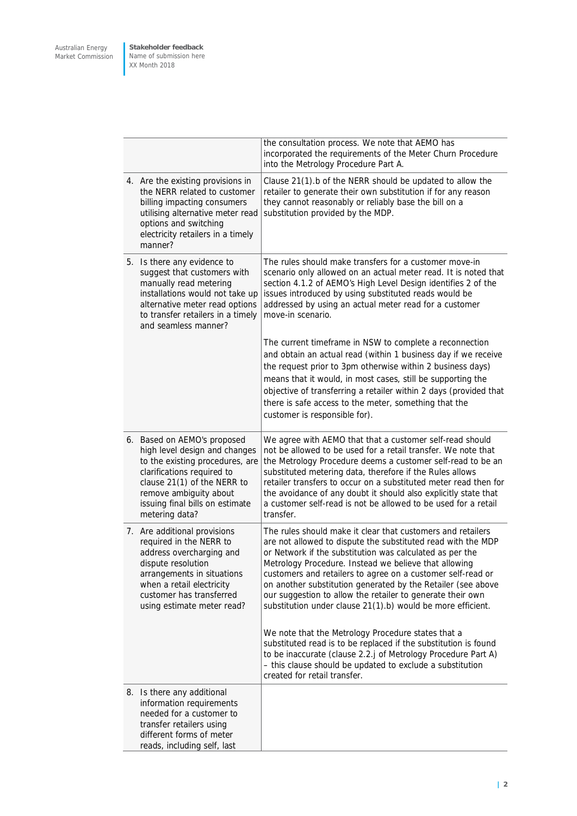**Stakeholder feedback** Name of submission here XX Month 2018

|  |                                                                                                                                                                                                                                             | the consultation process. We note that AEMO has<br>incorporated the requirements of the Meter Churn Procedure<br>into the Metrology Procedure Part A.                                                                                                                                                                                                                                                                                                                                                                                                              |
|--|---------------------------------------------------------------------------------------------------------------------------------------------------------------------------------------------------------------------------------------------|--------------------------------------------------------------------------------------------------------------------------------------------------------------------------------------------------------------------------------------------------------------------------------------------------------------------------------------------------------------------------------------------------------------------------------------------------------------------------------------------------------------------------------------------------------------------|
|  | 4. Are the existing provisions in<br>the NERR related to customer<br>billing impacting consumers<br>utilising alternative meter read<br>options and switching<br>electricity retailers in a timely<br>manner?                               | Clause 21(1).b of the NERR should be updated to allow the<br>retailer to generate their own substitution if for any reason<br>they cannot reasonably or reliably base the bill on a<br>substitution provided by the MDP.                                                                                                                                                                                                                                                                                                                                           |
|  | 5. Is there any evidence to<br>suggest that customers with<br>manually read metering<br>installations would not take up<br>alternative meter read options<br>to transfer retailers in a timely<br>and seamless manner?                      | The rules should make transfers for a customer move-in<br>scenario only allowed on an actual meter read. It is noted that<br>section 4.1.2 of AEMO's High Level Design identifies 2 of the<br>issues introduced by using substituted reads would be<br>addressed by using an actual meter read for a customer<br>move-in scenario.                                                                                                                                                                                                                                 |
|  |                                                                                                                                                                                                                                             | The current timeframe in NSW to complete a reconnection<br>and obtain an actual read (within 1 business day if we receive<br>the request prior to 3pm otherwise within 2 business days)<br>means that it would, in most cases, still be supporting the<br>objective of transferring a retailer within 2 days (provided that<br>there is safe access to the meter, something that the<br>customer is responsible for).                                                                                                                                              |
|  | 6. Based on AEMO's proposed<br>high level design and changes<br>to the existing procedures, are<br>clarifications required to<br>clause 21(1) of the NERR to<br>remove ambiguity about<br>issuing final bills on estimate<br>metering data? | We agree with AEMO that that a customer self-read should<br>not be allowed to be used for a retail transfer. We note that<br>the Metrology Procedure deems a customer self-read to be an<br>substituted metering data, therefore if the Rules allows<br>retailer transfers to occur on a substituted meter read then for<br>the avoidance of any doubt it should also explicitly state that<br>a customer self-read is not be allowed to be used for a retail<br>transfer.                                                                                         |
|  | 7. Are additional provisions<br>required in the NERR to<br>address overcharging and<br>dispute resolution<br>arrangements in situations<br>when a retail electricity<br>customer has transferred<br>using estimate meter read?              | The rules should make it clear that customers and retailers<br>are not allowed to dispute the substituted read with the MDP<br>or Network if the substitution was calculated as per the<br>Metrology Procedure. Instead we believe that allowing<br>customers and retailers to agree on a customer self-read or<br>on another substitution generated by the Retailer (see above<br>our suggestion to allow the retailer to generate their own<br>substitution under clause 21(1).b) would be more efficient.<br>We note that the Metrology Procedure states that a |
|  |                                                                                                                                                                                                                                             | substituted read is to be replaced if the substitution is found<br>to be inaccurate (clause 2.2.j of Metrology Procedure Part A)<br>- this clause should be updated to exclude a substitution<br>created for retail transfer.                                                                                                                                                                                                                                                                                                                                      |
|  | 8. Is there any additional<br>information requirements<br>needed for a customer to<br>transfer retailers using<br>different forms of meter<br>reads, including self, last                                                                   |                                                                                                                                                                                                                                                                                                                                                                                                                                                                                                                                                                    |